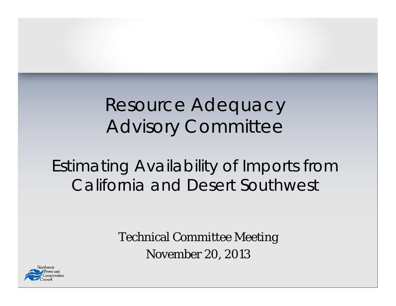### Resource Adequacy Advisory Committee

#### Estimating Availability of Imports from California and Desert Southwest

Technical Committee Meeting November 20, 2013

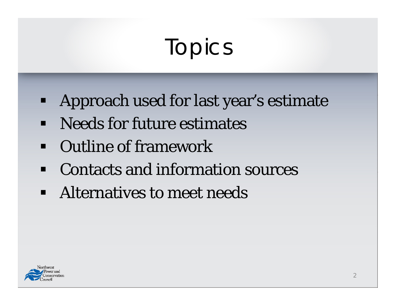# Topics

- $\blacksquare$ Approach used for last year's estimate
- $\blacksquare$ Needs for future estimates
- Outline of framework
- $\blacksquare$ Contacts and information sources
- $\blacksquare$ Alternatives to meet needs

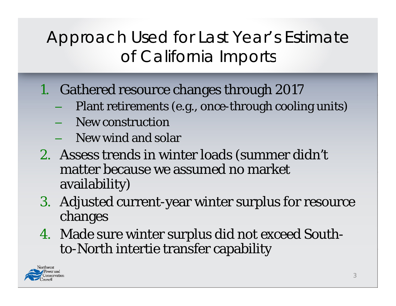#### Approach Used for Last Year's Estimate of California Imports

- 1. Gathered resource changes through 2017
	- Plant retirements (e.g., once-through cooling units)
	- New construction
	- $\,$  New wind and solar
- 2. Assess trends in winter loads (summer didn't matter because we assumed no market availability)
- 3. Adjusted current-year winter surplus for resource changes
- 4. Made sure winter surplus did not exceed Southto-North intertie transfer capability

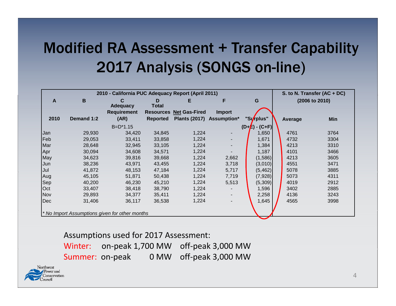#### **Modified RA Assessment + Transfer Capability** 2017 Analysis (SONGS on-line)

| 2010 - California PUC Adequacy Report (April 2011) |            |                                                |                  |                           |                          | S. to N. Transfer (AC + DC) |  |         |                |
|----------------------------------------------------|------------|------------------------------------------------|------------------|---------------------------|--------------------------|-----------------------------|--|---------|----------------|
| $\mathbf{A}$                                       | B          | C                                              | D                | Е                         | F                        | G                           |  |         | (2006 to 2010) |
|                                                    |            | <b>Adequacy</b>                                | <b>Total</b>     |                           |                          |                             |  |         |                |
|                                                    |            | <b>Requirement</b>                             | <b>Resources</b> | <b>Net Gas-Fired</b>      | <b>Import</b>            |                             |  |         |                |
| 2010                                               | Demand 1:2 | (AR)                                           | <b>Reported</b>  | Plants (2017) Assumption* |                          | "Surplus"                   |  | Average | <b>Min</b>     |
|                                                    |            | $B=D^*1.15$                                    |                  |                           |                          | $(D + E) - (C + F)$         |  |         |                |
| <b>Jan</b>                                         | 29,930     | 34,420                                         | 34,845           | 1,224                     |                          | 1,650                       |  | 4761    | 3764           |
| Feb                                                | 29,053     | 33,411                                         | 33,858           | 1,224                     | ۰.                       | 1,671                       |  | 4732    | 3304           |
| Mar                                                | 28,648     | 32,945                                         | 33,105           | 1,224                     |                          | 1,384                       |  | 4213    | 3310           |
| Apr                                                | 30,094     | 34,608                                         | 34,571           | 1,224                     |                          | 1,187                       |  | 4101    | 3466           |
| May                                                | 34,623     | 39,816                                         | 39,668           | 1,224                     | 2,662                    | (1,586)                     |  | 4213    | 3605           |
| Jun                                                | 38,236     | 43,971                                         | 43,455           | 1,224                     | 3,718                    | (3,010)                     |  | 4551    | 3471           |
| <b>Jul</b>                                         | 41,872     | 48,153                                         | 47,184           | 1,224                     | 5,717                    | (5, 462)                    |  | 5078    | 3885           |
| Aug                                                | 45,105     | 51,871                                         | 50,438           | 1,224                     | 7,719                    | (7,928)                     |  | 5073    | 4311           |
| <b>Sep</b>                                         | 40,200     | 46,230                                         | 45,210           | 1,224                     | 5,513                    | (5,309)                     |  | 4019    | 2912           |
| <b>Oct</b>                                         | 33,407     | 38,418                                         | 38,790           | 1,224                     |                          | 1,596                       |  | 3402    | 2885           |
| <b>Nov</b>                                         | 29,893     | 34,377                                         | 35,411           | 1,224                     | $\overline{\phantom{a}}$ | 2,258                       |  | 4136    | 3243           |
| Dec                                                | 31,406     | 36,117                                         | 36,538           | 1,224                     |                          | 1,645                       |  | 4565    | 3998           |
|                                                    |            |                                                |                  |                           |                          |                             |  |         |                |
|                                                    |            | * No Import Assumptions given for other months |                  |                           |                          |                             |  |         |                |

#### Assumptions used for 2017 Assessment:

Winter: $:$  on-peak 1,700 MW off-peak 3,000 MW Summer: on‐peak 0 MW off‐peak 3,000 MW

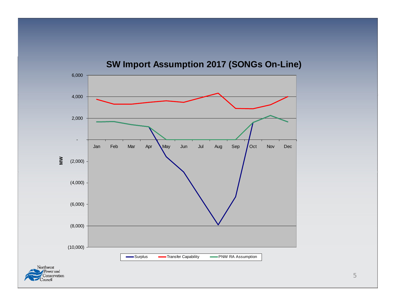

**SW Import Assumption 2017 (SONGs On-Line)**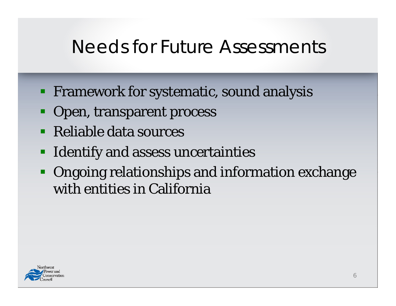#### Needs for Future Assessments

- **Firamework for systematic, sound analysis**
- Open, transparent process
- Reliable data sources
- **IDENTIFY and assess uncertainties**
- Ongoing relationships and information exchange with entities in California

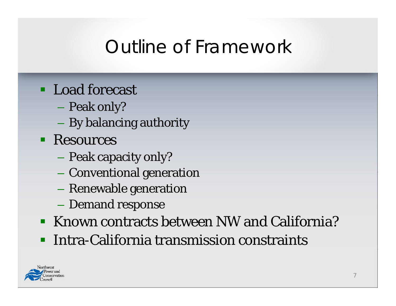## Outline of Framewor k

- Load forecast
	- Peak only?
	- $\mathcal{L}_{\mathcal{A}}$ By balancing authority
- **Resources** 
	- Peak capacity only?
	- Conventional generation
	- $\mathcal{L}_{\mathcal{A}}$ Renewable generation
	- –Demand response
- Known contracts between NW and California?
- $\blacksquare$ Intra-California transmission constraints

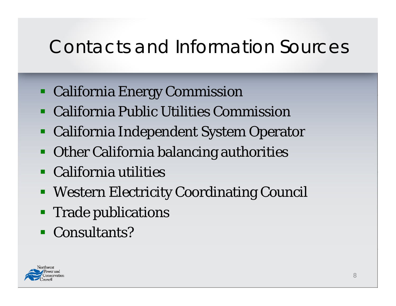## Contacts and Information Sources

- California Energy Commission
- California Public Utilities Commission
- California Independent System Operator
- Other California balancing authorities
- California utilities
- Western Electricity Coordinating Council
- **Trade publications**
- **Consultants?**

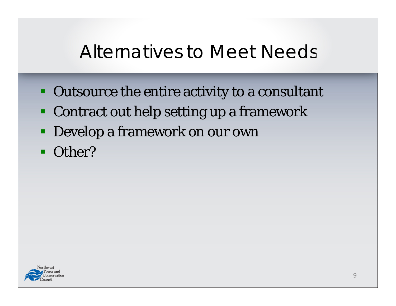#### Alternatives to Meet Needs

- **Outsource the entire activity to a consultant**
- Contract out help setting up a framework
- Develop a framework on our own
- $\blacksquare$ Other?

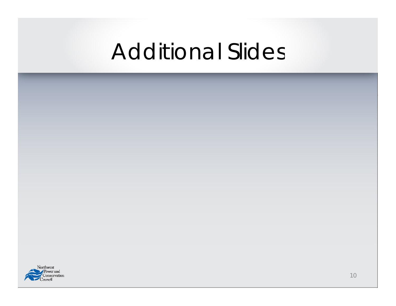## Additional Slides

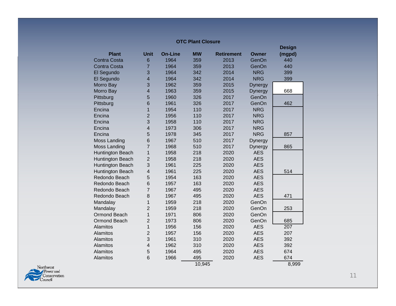|                     |                          |                |           |                   |                | <b>Design</b> |
|---------------------|--------------------------|----------------|-----------|-------------------|----------------|---------------|
| <b>Plant</b>        | <b>Unit</b>              | <b>On-Line</b> | <b>MW</b> | <b>Retirement</b> | Owner          | (mgpd)        |
| <b>Contra Costa</b> | 6                        | 1964           | 359       | 2013              | GenOn          | 440           |
| <b>Contra Costa</b> | $\overline{7}$           | 1964           | 359       | 2013              | GenOn          | 440           |
| El Segundo          | 3                        | 1964           | 342       | 2014              | <b>NRG</b>     | 399           |
| El Segundo          | $\overline{4}$           | 1964           | 342       | 2014              | <b>NRG</b>     | 399           |
| Morro Bay           | 3                        | 1962           | 359       | 2015              | <b>Dynergy</b> |               |
| Morro Bay           | $\overline{\mathbf{4}}$  | 1963           | 359       | 2015              | <b>Dynergy</b> | 668           |
| Pittsburg           | 5                        | 1960           | 326       | 2017              | GenOn          |               |
| Pittsburg           | 6                        | 1961           | 326       | 2017              | GenOn          | 462           |
| Encina              | $\overline{1}$           | 1954           | 110       | 2017              | <b>NRG</b>     |               |
| Encina              | $\overline{2}$           | 1956           | 110       | 2017              | <b>NRG</b>     |               |
| Encina              | 3                        | 1958           | 110       | 2017              | <b>NRG</b>     |               |
| Encina              | $\overline{\mathbf{4}}$  | 1973           | 306       | 2017              | <b>NRG</b>     |               |
| Encina              | 5                        | 1978           | 345       | 2017              | <b>NRG</b>     | 857           |
| Moss Landing        | 6                        | 1967           | 510       | 2017              | <b>Dynergy</b> |               |
| Moss Landing        | $\overline{7}$           | 1968           | 510       | 2017              | Dynergy        | 865           |
| Huntington Beach    | $\overline{1}$           | 1958           | 218       | 2020              | <b>AES</b>     |               |
| Huntington Beach    | $\overline{2}$           | 1958           | 218       | 2020              | <b>AES</b>     |               |
| Huntington Beach    | 3                        | 1961           | 225       | 2020              | <b>AES</b>     |               |
| Huntington Beach    | $\overline{4}$           | 1961           | 225       | 2020              | <b>AES</b>     | 514           |
| Redondo Beach       | 5                        | 1954           | 163       | 2020              | <b>AES</b>     |               |
| Redondo Beach       | 6                        | 1957           | 163       | 2020              | <b>AES</b>     |               |
| Redondo Beach       | $\overline{7}$           | 1967           | 495       | 2020              | <b>AES</b>     |               |
| Redondo Beach       | 8                        | 1967           | 495       | 2020              | <b>AES</b>     | 471           |
| Mandalay            | $\overline{1}$           | 1959           | 218       | 2020              | GenOn          |               |
| Mandalay            | $\overline{2}$           | 1959           | 218       | 2020              | GenOn          | 253           |
| <b>Ormond Beach</b> | $\mathbf{1}$             | 1971           | 806       | 2020              | GenOn          |               |
| Ormond Beach        | $\overline{2}$           | 1973           | 806       | 2020              | GenOn          | 685           |
| <b>Alamitos</b>     | $\overline{1}$           | 1956           | 156       | 2020              | <b>AES</b>     | 207           |
| Alamitos            | $\overline{2}$           | 1957           | 156       | 2020              | <b>AES</b>     | 207           |
| Alamitos            | 3                        | 1961           | 310       | 2020              | <b>AES</b>     | 392           |
| Alamitos            | $\overline{\mathcal{L}}$ | 1962           | 310       | 2020              | <b>AES</b>     | 392           |
| Alamitos            | 5                        | 1964           | 495       | 2020              | <b>AES</b>     | 674           |
| Alamitos            | 6                        | 1966           | 495       | 2020              | <b>AES</b>     | 674           |
|                     |                          |                | 10,945    |                   |                | 8,999         |

**OTC Plant Closure**

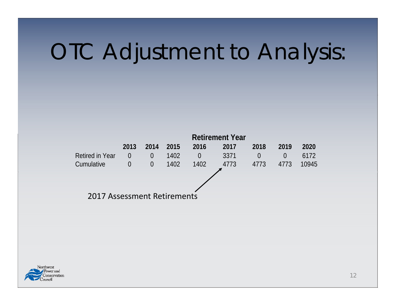# OTC Adjustment to Analysis:



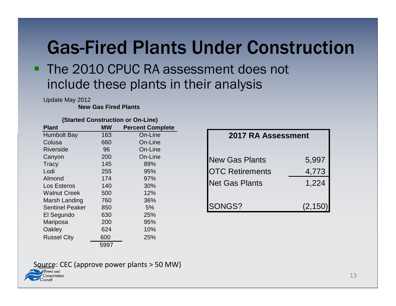### Gas-Fired Plants Under Construction

#### **The 2010 CPUC RA assessment does not** include these plants in their analysis

Update May 2012

**New Gas Fired Plants** 

|  | (Started Construction or On-Line) |  |
|--|-----------------------------------|--|
|--|-----------------------------------|--|

| <b>Plant</b>           | <b>MW</b> | <b>Percent Complete</b> |
|------------------------|-----------|-------------------------|
| <b>Humbolt Bay</b>     | 163       | On-Line                 |
| Colusa                 | 660       | On-Line                 |
| <b>Riverside</b>       | 96        | On-Line                 |
| Canyon                 | 200       | On-Line                 |
| <b>Tracy</b>           | 145       | 89%                     |
| Lodi                   | 255       | 95%                     |
| Almond                 | 174       | 97%                     |
| Los Esteros            | 140       | 30%                     |
| <b>Walnut Creek</b>    | 500       | 12%                     |
| Marsh Landing          | 760       | 36%                     |
| <b>Sentinel Peaker</b> | 850       | 5%                      |
| El Segundo             | 630       | 25%                     |
| Mariposa               | 200       | 95%                     |
| Oakley                 | 624       | 10%                     |
| <b>Russel City</b>     | 600       | 25%                     |
|                        | 5997      |                         |

| ιμισισ |                        |                           |  |  |  |
|--------|------------------------|---------------------------|--|--|--|
| e      |                        | <b>2017 RA Assessment</b> |  |  |  |
| e      |                        |                           |  |  |  |
| e      |                        |                           |  |  |  |
| e      | <b>New Gas Plants</b>  | 5,997                     |  |  |  |
|        | <b>OTC Retirements</b> | 4,773                     |  |  |  |
|        | <b>Net Gas Plants</b>  | 1,224                     |  |  |  |
|        | SONGS?                 | (2, 150)                  |  |  |  |

#### Source: CEC (approve power plants > 50 MW)

meervation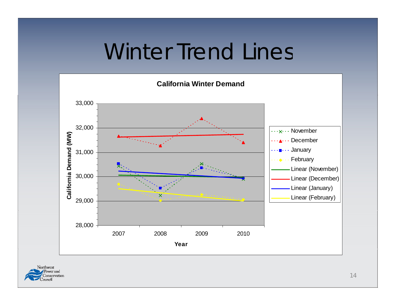## Winter Trend Lines